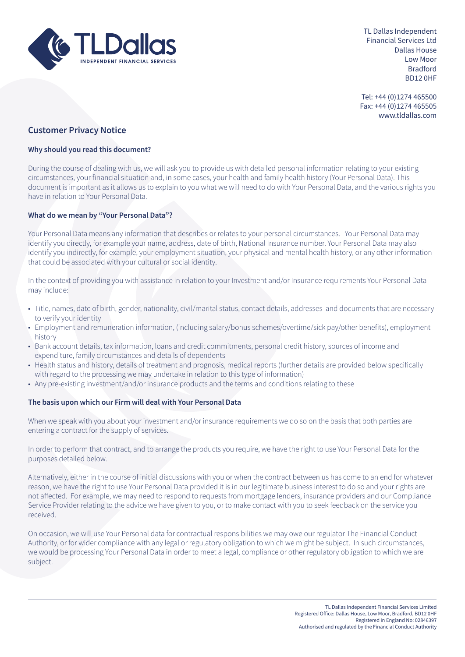

TL Dallas Independent Financial Services Ltd Dallas House Low Moor Bradford BD12 0HF

Tel: +44 (0)1274 465500 Fax: +44 (0)1274 465505 www.tldallas.com

# **Customer Privacy Notice**

# **Why should you read this document?**

During the course of dealing with us, we will ask you to provide us with detailed personal information relating to your existing circumstances, your financial situation and, in some cases, your health and family health history (Your Personal Data). This document is important as it allows us to explain to you what we will need to do with Your Personal Data, and the various rights you have in relation to Your Personal Data.

## **What do we mean by "Your Personal Data"?**

Your Personal Data means any information that describes or relates to your personal circumstances. Your Personal Data may identify you directly, for example your name, address, date of birth, National Insurance number. Your Personal Data may also identify you indirectly, for example, your employment situation, your physical and mental health history, or any other information that could be associated with your cultural or social identity.

In the context of providing you with assistance in relation to your Investment and/or Insurance requirements Your Personal Data may include:

- Title, names, date of birth, gender, nationality, civil/marital status, contact details, addresses and documents that are necessary to verify your identity
- Employment and remuneration information, (including salary/bonus schemes/overtime/sick pay/other benefits), employment history
- Bank account details, tax information, loans and credit commitments, personal credit history, sources of income and expenditure, family circumstances and details of dependents
- Health status and history, details of treatment and prognosis, medical reports (further details are provided below specifically with regard to the processing we may undertake in relation to this type of information)
- Any pre-existing investment/and/or insurance products and the terms and conditions relating to these

#### **The basis upon which our Firm will deal with Your Personal Data**

When we speak with you about your investment and/or insurance requirements we do so on the basis that both parties are entering a contract for the supply of services.

In order to perform that contract, and to arrange the products you require, we have the right to use Your Personal Data for the purposes detailed below.

Alternatively, either in the course of initial discussions with you or when the contract between us has come to an end for whatever reason, we have the right to use Your Personal Data provided it is in our legitimate business interest to do so and your rights are not affected. For example, we may need to respond to requests from mortgage lenders, insurance providers and our Compliance Service Provider relating to the advice we have given to you, or to make contact with you to seek feedback on the service you received.

On occasion, we will use Your Personal data for contractual responsibilities we may owe our regulator The Financial Conduct Authority, or for wider compliance with any legal or regulatory obligation to which we might be subject. In such circumstances, we would be processing Your Personal Data in order to meet a legal, compliance or other regulatory obligation to which we are subject.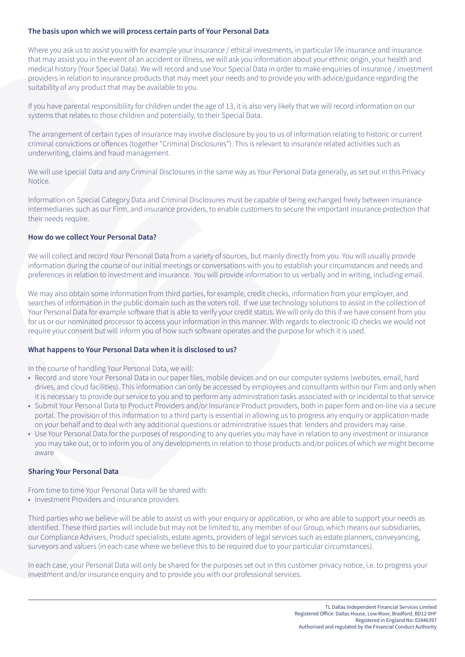## **The basis upon which we will process certain parts of Your Personal Data**

Where you ask us to assist you with for example your insurance / ethical investments, in particular life insurance and insurance that may assist you in the event of an accident or illness, we will ask you information about your ethnic origin, your health and medical history (Your Special Data). We will record and use Your Special Data in order to make enquiries of insurance / investment providers in relation to insurance products that may meet your needs and to provide you with advice/guidance regarding the suitability of any product that may be available to you.

If you have parental responsibility for children under the age of 13, it is also very likely that we will record information on our systems that relates to those children and potentially, to their Special Data.

The arrangement of certain types of insurance may involve disclosure by you to us of information relating to historic or current criminal convictions or offences (together "Criminal Disclosures"). This is relevant to insurance related activities such as underwriting, claims and fraud management.

We will use special Data and any Criminal Disclosures in the same way as Your Personal Data generally, as set out in this Privacy Notice.

Information on Special Category Data and Criminal Disclosures must be capable of being exchanged freely between insurance intermediaries such as our Firm, and insurance providers, to enable customers to secure the important insurance protection that their needs require.

# **How do we collect Your Personal Data?**

We will collect and record Your Personal Data from a variety of sources, but mainly directly from you. You will usually provide information during the course of our initial meetings or conversations with you to establish your circumstances and needs and preferences in relation to investment and insurance. You will provide information to us verbally and in writing, including email.

We may also obtain some information from third parties, for example, credit checks, information from your employer, and searches of information in the public domain such as the voters roll. If we use technology solutions to assist in the collection of Your Personal Data for example software that is able to verify your credit status. We will only do this if we have consent from you for us or our nominated processor to access your information in this manner. With regards to electronic ID checks we would not require your consent but will inform you of how such software operates and the purpose for which it is used.

#### **What happens to Your Personal Data when it is disclosed to us?**

In the course of handling Your Personal Data, we will:

- Record and store Your Personal Data in our paper files, mobile devices and on our computer systems (websites, email, hard drives, and cloud facilities). This information can only be accessed by employees and consultants within our Firm and only when it is necessary to provide our service to you and to perform any administration tasks associated with or incidental to that service
- Submit Your Personal Data to Product Providers and/or Insurance Product providers, both in paper form and on-line via a secure portal. The provision of this information to a third party is essential in allowing us to progress any enquiry or application made on your behalf and to deal with any additional questions or administrative issues that lenders and providers may raise.
- Use Your Personal Data for the purposes of responding to any queries you may have in relation to any investment or insurance you may take out, or to inform you of any developments in relation to those products and/or polices of which we might become aware

#### **Sharing Your Personal Data**

From time to time Your Personal Data will be shared with:

• Investment Providers and insurance providers

Third parties who we believe will be able to assist us with your enquiry or application, or who are able to support your needs as identified. These third parties will include but may not be limited to, any member of our Group, which means our subsidiaries, our Compliance Advisers, Product specialists, estate agents, providers of legal services such as estate planners, conveyancing, surveyors and valuers (in each case where we believe this to be required due to your particular circumstances).

In each case, your Personal Data will only be shared for the purposes set out in this customer privacy notice, i.e. to progress your investment and/or insurance enquiry and to provide you with our professional services.